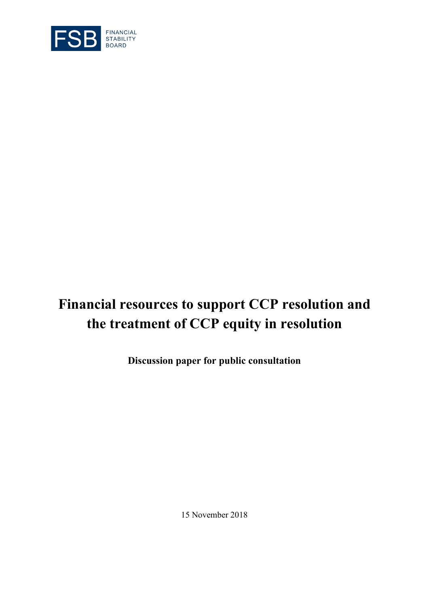

# **Financial resources to support CCP resolution and the treatment of CCP equity in resolution**

**Discussion paper for public consultation**

15 November 2018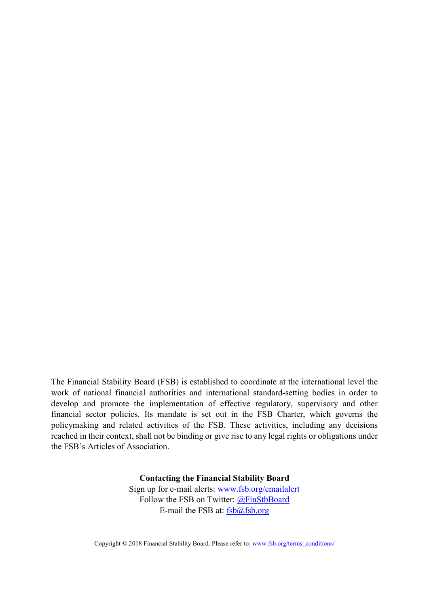The Financial Stability Board (FSB) is established to coordinate at the international level the work of national financial authorities and international standard-setting bodies in order to develop and promote the implementation of effective regulatory, supervisory and other financial sector policies. Its mandate is set out in the FSB Charter, which governs the policymaking and related activities of the FSB. These activities, including any decisions reached in their context, shall not be binding or give rise to any legal rights or obligations under the FSB's Articles of Association.

> **Contacting the Financial Stability Board** Sign up for e-mail alerts: [www.fsb.org/emailalert](http://www.fsb.org/emailalert) Follow the FSB on Twitter: [@FinStbBoard](https://twitter.com/FinStbBoard) E-mail the FSB at:  $fsb(a)fsb.org$

Copyright © 2018 Financial Stability Board. Please refer to[: www.fsb.org/terms\\_conditions/](http://www.fsb.org/terms_conditions/)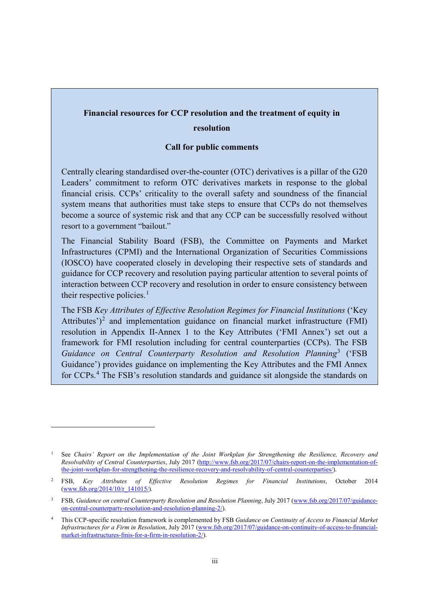## **Financial resources for CCP resolution and the treatment of equity in resolution**

#### **Call for public comments**

Centrally clearing standardised over-the-counter (OTC) derivatives is a pillar of the G20 Leaders' commitment to reform OTC derivatives markets in response to the global financial crisis. CCPs' criticality to the overall safety and soundness of the financial system means that authorities must take steps to ensure that CCPs do not themselves become a source of systemic risk and that any CCP can be successfully resolved without resort to a government "bailout."

The Financial Stability Board (FSB), the Committee on Payments and Market Infrastructures (CPMI) and the International Organization of Securities Commissions (IOSCO) have cooperated closely in developing their respective sets of standards and guidance for CCP recovery and resolution paying particular attention to several points of interaction between CCP recovery and resolution in order to ensure consistency between their respective policies.<sup>[1](#page-2-0)</sup>

The FSB *Key Attributes of Effective Resolution Regimes for Financial Institutions* ('Key Attributes')<sup>[2](#page-2-1)</sup> and implementation guidance on financial market infrastructure (FMI) resolution in Appendix II-Annex 1 to the Key Attributes ('FMI Annex') set out a framework for FMI resolution including for central counterparties (CCPs). The FSB *Guidance on Central Counterparty Resolution and Resolution Planning*[3](#page-2-2) ('FSB Guidance') provides guidance on implementing the Key Attributes and the FMI Annex for CCPs.[4](#page-2-3) The FSB's resolution standards and guidance sit alongside the standards on

<span id="page-2-0"></span><sup>1</sup> See *Chairs' Report on the Implementation of the Joint Workplan for Strengthening the Resilience, Recovery and Resolvability of Central Counterparties*, July 2017 [\(http://www.fsb.org/2017/07/chairs-report-on-the-implementation-of](http://www.fsb.org/2017/07/chairs-report-on-the-implementation-of-the-joint-workplan-for-strengthening-the-resilience-recovery-and-resolvability-of-central-counterparties/)[the-joint-workplan-for-strengthening-the-resilience-recovery-and-resolvability-of-central-counterparties/\)](http://www.fsb.org/2017/07/chairs-report-on-the-implementation-of-the-joint-workplan-for-strengthening-the-resilience-recovery-and-resolvability-of-central-counterparties/).

<span id="page-2-1"></span><sup>2</sup> FSB, *Key Attributes of Effective Resolution Regimes for Financial Institutions*, October 2014 [\(www.fsb.org/2014/10/r\\_141015/\)](http://www.fsb.org/2014/10/r_141015/).

<span id="page-2-2"></span><sup>&</sup>lt;sup>3</sup> FSB, *Guidance on central Counterparty Resolution and Resolution Planning*, July 2017 [\(www.fsb.org/2017/07/guidance](http://www.fsb.org/2017/07/guidance-on-central-counterparty-resolution-and-resolution-planning-2/)[on-central-counterparty-resolution-and-resolution-planning-2/\)](http://www.fsb.org/2017/07/guidance-on-central-counterparty-resolution-and-resolution-planning-2/).

<span id="page-2-3"></span><sup>4</sup> This CCP-specific resolution framework is complemented by FSB *Guidance on Continuity of Access to Financial Market Infrastructures for a Firm in Resolution*, July 2017 [\(www.fsb.org/2017/07/guidance-on-continuity-of-access-to-financial](http://www.fsb.org/2017/07/guidance-on-continuity-of-access-to-financial-market-infrastructures-fmis-for-a-firm-in-resolution-2/)[market-infrastructures-fmis-for-a-firm-in-resolution-2/\)](http://www.fsb.org/2017/07/guidance-on-continuity-of-access-to-financial-market-infrastructures-fmis-for-a-firm-in-resolution-2/).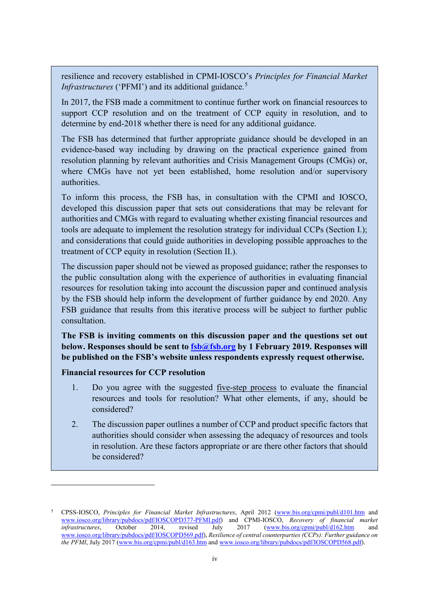resilience and recovery established in CPMI-IOSCO's *Principles for Financial Market Infrastructures* ('PFMI') and its additional guidance.<sup>[5](#page-3-0)</sup>

In 2017, the FSB made a commitment to continue further work on financial resources to support CCP resolution and on the treatment of CCP equity in resolution, and to determine by end-2018 whether there is need for any additional guidance.

The FSB has determined that further appropriate guidance should be developed in an evidence-based way including by drawing on the practical experience gained from resolution planning by relevant authorities and Crisis Management Groups (CMGs) or, where CMGs have not yet been established, home resolution and/or supervisory authorities.

To inform this process, the FSB has, in consultation with the CPMI and IOSCO, developed this discussion paper that sets out considerations that may be relevant for authorities and CMGs with regard to evaluating whether existing financial resources and tools are adequate to implement the resolution strategy for individual CCPs (Section I.); and considerations that could guide authorities in developing possible approaches to the treatment of CCP equity in resolution (Section II.).

The discussion paper should not be viewed as proposed guidance; rather the responses to the public consultation along with the experience of authorities in evaluating financial resources for resolution taking into account the discussion paper and continued analysis by the FSB should help inform the development of further guidance by end 2020. Any FSB guidance that results from this iterative process will be subject to further public consultation.

**The FSB is inviting comments on this discussion paper and the questions set out below. Responses should be sent to [fsb@fsb.org](mailto:fsb@fsb.org) by 1 February 2019. Responses will be published on the FSB's website unless respondents expressly request otherwise.**

#### **Financial resources for CCP resolution**

- 1. Do you agree with the suggested five-step process to evaluate the financial resources and tools for resolution? What other elements, if any, should be considered?
- 2. The discussion paper outlines a number of CCP and product specific factors that authorities should consider when assessing the adequacy of resources and tools in resolution. Are these factors appropriate or are there other factors that should be considered?

<span id="page-3-0"></span><sup>5</sup> CPSS-IOSCO, *Principles for Financial Market Infrastructures*, April 2012 [\(www.bis.org/cpmi/publ/d101.htm](http://www.bis.org/cpmi/publ/d101.htm) and [www.iosco.org/library/pubdocs/pdf/IOSCOPD377-PFMI.pdf\)](http://www.iosco.org/library/pubdocs/pdf/IOSCOPD377-PFMI.pdf) and CPMI-IOSCO, *Recovery of financial market infrastructures*, October 2014, revised July 2017 [\(www.bis.org/cpmi/publ/d162.htm](http://www.bis.org/cpmi/publ/d162.htm) and [www.iosco.org/library/pubdocs/pdf/IOSCOPD569.pdf\)](http://www.iosco.org/library/pubdocs/pdf/IOSCOPD569.pdf), *Resilience of central counterparties (CCPs): Further guidance on the PFMI*, July 2017 [\(www.bis.org/cpmi/publ/d163.htm](http://www.bis.org/cpmi/publ/d163.htm) an[d www.iosco.org/library/pubdocs/pdf/IOSCOPD568.pdf\)](http://www.iosco.org/library/pubdocs/pdf/IOSCOPD568.pdf).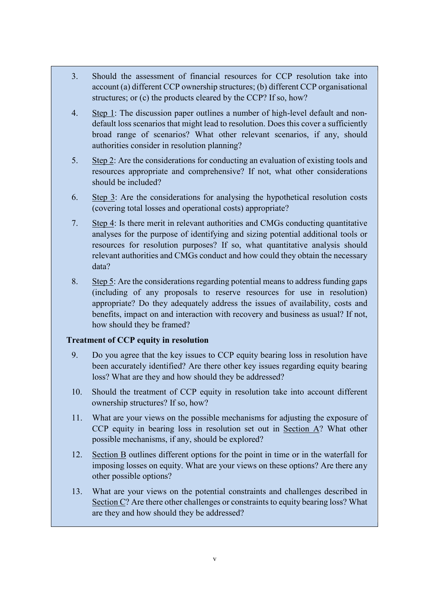- 3. Should the assessment of financial resources for CCP resolution take into account (a) different CCP ownership structures; (b) different CCP organisational structures; or (c) the products cleared by the CCP? If so, how?
- 4. Step 1: The discussion paper outlines a number of high-level default and nondefault loss scenarios that might lead to resolution. Does this cover a sufficiently broad range of scenarios? What other relevant scenarios, if any, should authorities consider in resolution planning?
- 5. Step 2: Are the considerations for conducting an evaluation of existing tools and resources appropriate and comprehensive? If not, what other considerations should be included?
- 6. Step 3: Are the considerations for analysing the hypothetical resolution costs (covering total losses and operational costs) appropriate?
- 7. Step 4: Is there merit in relevant authorities and CMGs conducting quantitative analyses for the purpose of identifying and sizing potential additional tools or resources for resolution purposes? If so, what quantitative analysis should relevant authorities and CMGs conduct and how could they obtain the necessary data?
- 8. Step 5: Are the considerations regarding potential means to address funding gaps (including of any proposals to reserve resources for use in resolution) appropriate? Do they adequately address the issues of availability, costs and benefits, impact on and interaction with recovery and business as usual? If not, how should they be framed?

## **Treatment of CCP equity in resolution**

- 9. Do you agree that the key issues to CCP equity bearing loss in resolution have been accurately identified? Are there other key issues regarding equity bearing loss? What are they and how should they be addressed?
- 10. Should the treatment of CCP equity in resolution take into account different ownership structures? If so, how?
- 11. What are your views on the possible mechanisms for adjusting the exposure of CCP equity in bearing loss in resolution set out in Section A? What other possible mechanisms, if any, should be explored?
- 12. Section B outlines different options for the point in time or in the waterfall for imposing losses on equity. What are your views on these options? Are there any other possible options?
- 13. What are your views on the potential constraints and challenges described in Section C? Are there other challenges or constraints to equity bearing loss? What are they and how should they be addressed?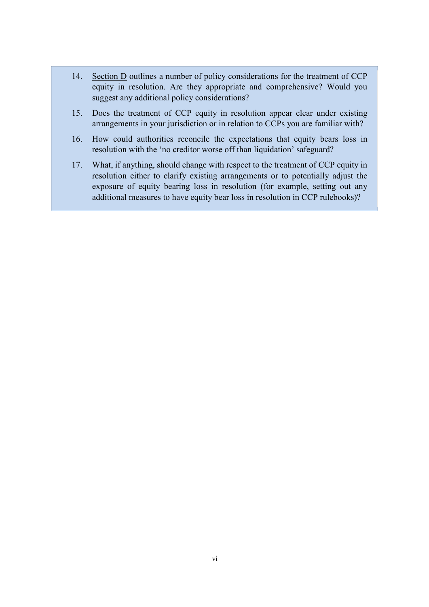- 14. Section D outlines a number of policy considerations for the treatment of CCP equity in resolution. Are they appropriate and comprehensive? Would you suggest any additional policy considerations?
- 15. Does the treatment of CCP equity in resolution appear clear under existing arrangements in your jurisdiction or in relation to CCPs you are familiar with?
- 16. How could authorities reconcile the expectations that equity bears loss in resolution with the 'no creditor worse off than liquidation' safeguard?
- 17. What, if anything, should change with respect to the treatment of CCP equity in resolution either to clarify existing arrangements or to potentially adjust the exposure of equity bearing loss in resolution (for example, setting out any additional measures to have equity bear loss in resolution in CCP rulebooks)?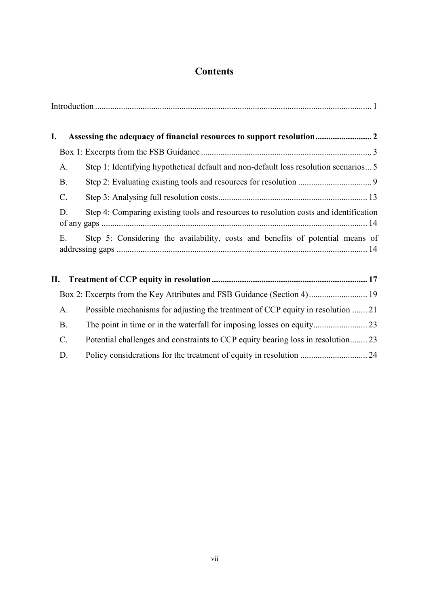## **Contents**

| I. |           |                                                                                       |
|----|-----------|---------------------------------------------------------------------------------------|
|    |           |                                                                                       |
|    | A.        | Step 1: Identifying hypothetical default and non-default loss resolution scenarios 5  |
|    | <b>B.</b> |                                                                                       |
|    | C.        |                                                                                       |
|    | D.        | Step 4: Comparing existing tools and resources to resolution costs and identification |
|    | Е.        | Step 5: Considering the availability, costs and benefits of potential means of        |

| A.              | Possible mechanisms for adjusting the treatment of CCP equity in resolution 21  |  |
|-----------------|---------------------------------------------------------------------------------|--|
| <b>B.</b>       |                                                                                 |  |
| $\mathcal{C}$ . | Potential challenges and constraints to CCP equity bearing loss in resolution23 |  |
| D.              |                                                                                 |  |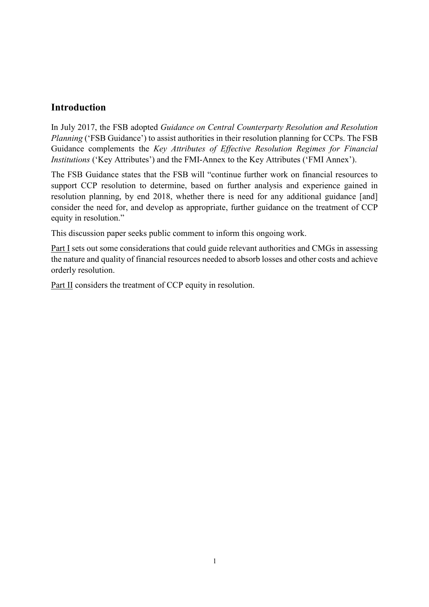## <span id="page-7-0"></span>**Introduction**

In July 2017, the FSB adopted *Guidance on Central Counterparty Resolution and Resolution Planning* ('FSB Guidance') to assist authorities in their resolution planning for CCPs. The FSB Guidance complements the *Key Attributes of Effective Resolution Regimes for Financial Institutions* ('Key Attributes') and the FMI-Annex to the Key Attributes ('FMI Annex').

The FSB Guidance states that the FSB will "continue further work on financial resources to support CCP resolution to determine, based on further analysis and experience gained in resolution planning, by end 2018, whether there is need for any additional guidance [and] consider the need for, and develop as appropriate, further guidance on the treatment of CCP equity in resolution."

This discussion paper seeks public comment to inform this ongoing work.

Part I sets out some considerations that could guide relevant authorities and CMGs in assessing the nature and quality of financial resources needed to absorb losses and other costs and achieve orderly resolution.

Part II considers the treatment of CCP equity in resolution.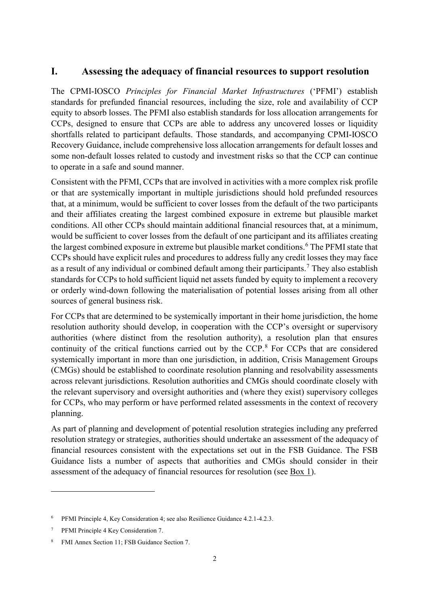## <span id="page-8-0"></span>**I. Assessing the adequacy of financial resources to support resolution**

The CPMI-IOSCO *Principles for Financial Market Infrastructures* ('PFMI') establish standards for prefunded financial resources, including the size, role and availability of CCP equity to absorb losses. The PFMI also establish standards for loss allocation arrangements for CCPs, designed to ensure that CCPs are able to address any uncovered losses or liquidity shortfalls related to participant defaults. Those standards, and accompanying CPMI-IOSCO Recovery Guidance, include comprehensive loss allocation arrangements for default losses and some non-default losses related to custody and investment risks so that the CCP can continue to operate in a safe and sound manner.

Consistent with the PFMI, CCPs that are involved in activities with a more complex risk profile or that are systemically important in multiple jurisdictions should hold prefunded resources that, at a minimum, would be sufficient to cover losses from the default of the two participants and their affiliates creating the largest combined exposure in extreme but plausible market conditions. All other CCPs should maintain additional financial resources that, at a minimum, would be sufficient to cover losses from the default of one participant and its affiliates creating the largest combined exposure in extreme but plausible market conditions.<sup>[6](#page-8-1)</sup> The PFMI state that CCPs should have explicit rules and procedures to address fully any credit losses they may face as a result of any individual or combined default among their participants.<sup>[7](#page-8-2)</sup> They also establish standards for CCPs to hold sufficient liquid net assets funded by equity to implement a recovery or orderly wind-down following the materialisation of potential losses arising from all other sources of general business risk.

For CCPs that are determined to be systemically important in their home jurisdiction, the home resolution authority should develop, in cooperation with the CCP's oversight or supervisory authorities (where distinct from the resolution authority), a resolution plan that ensures continuity of the critical functions carried out by the CCP.[8](#page-8-3) For CCPs that are considered systemically important in more than one jurisdiction, in addition, Crisis Management Groups (CMGs) should be established to coordinate resolution planning and resolvability assessments across relevant jurisdictions. Resolution authorities and CMGs should coordinate closely with the relevant supervisory and oversight authorities and (where they exist) supervisory colleges for CCPs, who may perform or have performed related assessments in the context of recovery planning.

As part of planning and development of potential resolution strategies including any preferred resolution strategy or strategies, authorities should undertake an assessment of the adequacy of financial resources consistent with the expectations set out in the FSB Guidance. The FSB Guidance lists a number of aspects that authorities and CMGs should consider in their assessment of the adequacy of financial resources for resolution (see Box 1).

<span id="page-8-1"></span><sup>6</sup> PFMI Principle 4, Key Consideration 4; see also Resilience Guidance 4.2.1-4.2.3.

<span id="page-8-2"></span><sup>7</sup> PFMI Principle 4 Key Consideration 7.

<span id="page-8-3"></span><sup>8</sup> FMI Annex Section 11; FSB Guidance Section 7.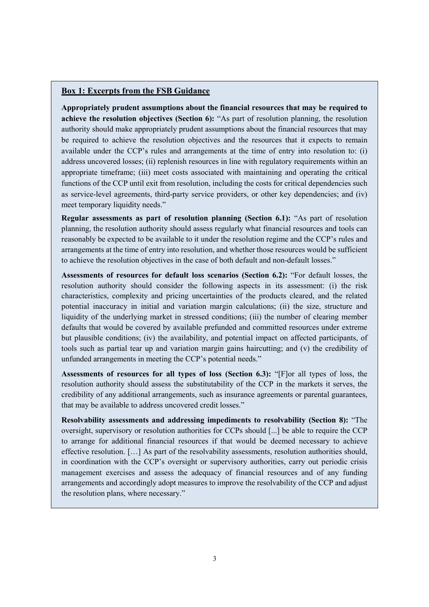#### <span id="page-9-0"></span>**Box 1: Excerpts from the FSB Guidance**

**Appropriately prudent assumptions about the financial resources that may be required to achieve the resolution objectives (Section 6):** "As part of resolution planning, the resolution authority should make appropriately prudent assumptions about the financial resources that may be required to achieve the resolution objectives and the resources that it expects to remain available under the CCP's rules and arrangements at the time of entry into resolution to: (i) address uncovered losses; (ii) replenish resources in line with regulatory requirements within an appropriate timeframe; (iii) meet costs associated with maintaining and operating the critical functions of the CCP until exit from resolution, including the costs for critical dependencies such as service-level agreements, third-party service providers, or other key dependencies; and (iv) meet temporary liquidity needs."

**Regular assessments as part of resolution planning (Section 6.1):** "As part of resolution planning, the resolution authority should assess regularly what financial resources and tools can reasonably be expected to be available to it under the resolution regime and the CCP's rules and arrangements at the time of entry into resolution, and whether those resources would be sufficient to achieve the resolution objectives in the case of both default and non-default losses."

**Assessments of resources for default loss scenarios (Section 6.2):** "For default losses, the resolution authority should consider the following aspects in its assessment: (i) the risk characteristics, complexity and pricing uncertainties of the products cleared, and the related potential inaccuracy in initial and variation margin calculations; (ii) the size, structure and liquidity of the underlying market in stressed conditions; (iii) the number of clearing member defaults that would be covered by available prefunded and committed resources under extreme but plausible conditions; (iv) the availability, and potential impact on affected participants, of tools such as partial tear up and variation margin gains haircutting; and (v) the credibility of unfunded arrangements in meeting the CCP's potential needs."

**Assessments of resources for all types of loss (Section 6.3):** "[F]or all types of loss, the resolution authority should assess the substitutability of the CCP in the markets it serves, the credibility of any additional arrangements, such as insurance agreements or parental guarantees, that may be available to address uncovered credit losses."

**Resolvability assessments and addressing impediments to resolvability (Section 8):** "The oversight, supervisory or resolution authorities for CCPs should [...] be able to require the CCP to arrange for additional financial resources if that would be deemed necessary to achieve effective resolution. […] As part of the resolvability assessments, resolution authorities should, in coordination with the CCP's oversight or supervisory authorities, carry out periodic crisis management exercises and assess the adequacy of financial resources and of any funding arrangements and accordingly adopt measures to improve the resolvability of the CCP and adjust the resolution plans, where necessary."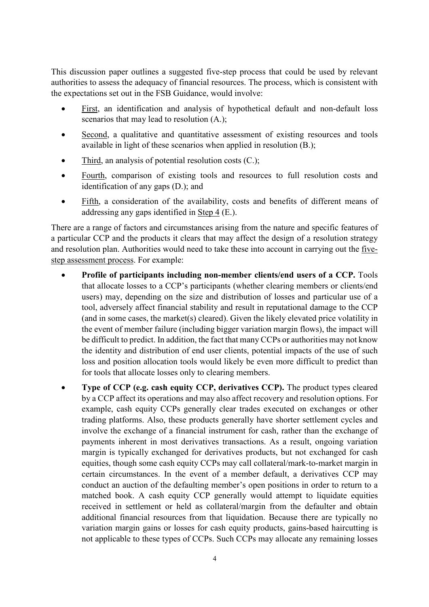This discussion paper outlines a suggested five-step process that could be used by relevant authorities to assess the adequacy of financial resources. The process, which is consistent with the expectations set out in the FSB Guidance, would involve:

- First, an identification and analysis of hypothetical default and non-default loss scenarios that may lead to resolution  $(A<sub>z</sub>)$ ;
- Second, a qualitative and quantitative assessment of existing resources and tools available in light of these scenarios when applied in resolution (B.);
- Third, an analysis of potential resolution costs  $(C)$ ;
- Fourth, comparison of existing tools and resources to full resolution costs and identification of any gaps (D.); and
- Fifth, a consideration of the availability, costs and benefits of different means of addressing any gaps identified in Step 4 (E.).

There are a range of factors and circumstances arising from the nature and specific features of a particular CCP and the products it clears that may affect the design of a resolution strategy and resolution plan. Authorities would need to take these into account in carrying out the fivestep assessment process. For example:

- **Profile of participants including non-member clients/end users of a CCP.** Tools that allocate losses to a CCP's participants (whether clearing members or clients/end users) may, depending on the size and distribution of losses and particular use of a tool, adversely affect financial stability and result in reputational damage to the CCP (and in some cases, the market(s) cleared). Given the likely elevated price volatility in the event of member failure (including bigger variation margin flows), the impact will be difficult to predict. In addition, the fact that many CCPs or authorities may not know the identity and distribution of end user clients, potential impacts of the use of such loss and position allocation tools would likely be even more difficult to predict than for tools that allocate losses only to clearing members.
- **Type of CCP (e.g. cash equity CCP, derivatives CCP).** The product types cleared by a CCP affect its operations and may also affect recovery and resolution options. For example, cash equity CCPs generally clear trades executed on exchanges or other trading platforms. Also, these products generally have shorter settlement cycles and involve the exchange of a financial instrument for cash, rather than the exchange of payments inherent in most derivatives transactions. As a result, ongoing variation margin is typically exchanged for derivatives products, but not exchanged for cash equities, though some cash equity CCPs may call collateral/mark-to-market margin in certain circumstances. In the event of a member default, a derivatives CCP may conduct an auction of the defaulting member's open positions in order to return to a matched book. A cash equity CCP generally would attempt to liquidate equities received in settlement or held as collateral/margin from the defaulter and obtain additional financial resources from that liquidation. Because there are typically no variation margin gains or losses for cash equity products, gains-based haircutting is not applicable to these types of CCPs. Such CCPs may allocate any remaining losses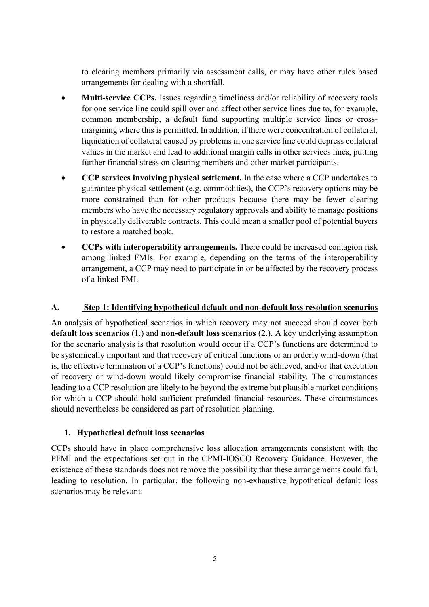to clearing members primarily via assessment calls, or may have other rules based arrangements for dealing with a shortfall.

- **Multi-service CCPs.** Issues regarding timeliness and/or reliability of recovery tools for one service line could spill over and affect other service lines due to, for example, common membership, a default fund supporting multiple service lines or crossmargining where this is permitted. In addition, if there were concentration of collateral, liquidation of collateral caused by problems in one service line could depress collateral values in the market and lead to additional margin calls in other services lines, putting further financial stress on clearing members and other market participants.
- **CCP services involving physical settlement.** In the case where a CCP undertakes to guarantee physical settlement (e.g. commodities), the CCP's recovery options may be more constrained than for other products because there may be fewer clearing members who have the necessary regulatory approvals and ability to manage positions in physically deliverable contracts. This could mean a smaller pool of potential buyers to restore a matched book.
- **CCPs with interoperability arrangements.** There could be increased contagion risk among linked FMIs. For example, depending on the terms of the interoperability arrangement, a CCP may need to participate in or be affected by the recovery process of a linked FMI.

## <span id="page-11-0"></span>**A. Step 1: Identifying hypothetical default and non-default loss resolution scenarios**

An analysis of hypothetical scenarios in which recovery may not succeed should cover both **default loss scenarios** (1.) and **non-default loss scenarios** (2.). A key underlying assumption for the scenario analysis is that resolution would occur if a CCP's functions are determined to be systemically important and that recovery of critical functions or an orderly wind-down (that is, the effective termination of a CCP's functions) could not be achieved, and/or that execution of recovery or wind-down would likely compromise financial stability. The circumstances leading to a CCP resolution are likely to be beyond the extreme but plausible market conditions for which a CCP should hold sufficient prefunded financial resources. These circumstances should nevertheless be considered as part of resolution planning.

#### **1. Hypothetical default loss scenarios**

CCPs should have in place comprehensive loss allocation arrangements consistent with the PFMI and the expectations set out in the CPMI-IOSCO Recovery Guidance. However, the existence of these standards does not remove the possibility that these arrangements could fail, leading to resolution. In particular, the following non-exhaustive hypothetical default loss scenarios may be relevant: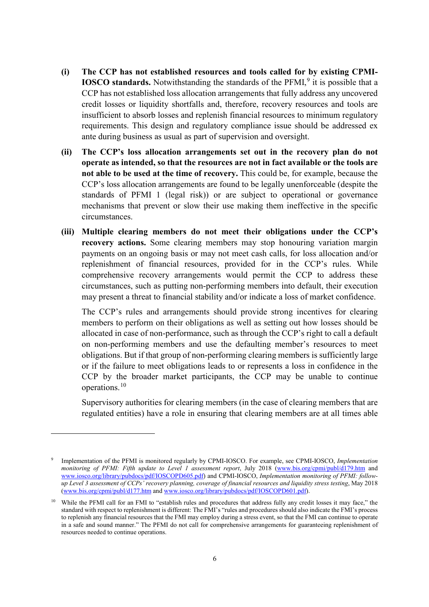- **(i) The CCP has not established resources and tools called for by existing CPMI-IOSCO standards.** Notwithstanding the standards of the PFMI,<sup>[9](#page-12-0)</sup> it is possible that a CCP has not established loss allocation arrangements that fully address any uncovered credit losses or liquidity shortfalls and, therefore, recovery resources and tools are insufficient to absorb losses and replenish financial resources to minimum regulatory requirements. This design and regulatory compliance issue should be addressed ex ante during business as usual as part of supervision and oversight.
- **(ii) The CCP's loss allocation arrangements set out in the recovery plan do not operate as intended, so that the resources are not in fact available or the tools are not able to be used at the time of recovery.** This could be, for example, because the CCP's loss allocation arrangements are found to be legally unenforceable (despite the standards of PFMI 1 (legal risk)) or are subject to operational or governance mechanisms that prevent or slow their use making them ineffective in the specific circumstances.
- **(iii) Multiple clearing members do not meet their obligations under the CCP's recovery actions.** Some clearing members may stop honouring variation margin payments on an ongoing basis or may not meet cash calls, for loss allocation and/or replenishment of financial resources, provided for in the CCP's rules. While comprehensive recovery arrangements would permit the CCP to address these circumstances, such as putting non-performing members into default, their execution may present a threat to financial stability and/or indicate a loss of market confidence.

The CCP's rules and arrangements should provide strong incentives for clearing members to perform on their obligations as well as setting out how losses should be allocated in case of non-performance, such as through the CCP's right to call a default on non-performing members and use the defaulting member's resources to meet obligations. But if that group of non-performing clearing members is sufficiently large or if the failure to meet obligations leads to or represents a loss in confidence in the CCP by the broader market participants, the CCP may be unable to continue operations.[10](#page-12-1)

Supervisory authorities for clearing members (in the case of clearing members that are regulated entities) have a role in ensuring that clearing members are at all times able

<span id="page-12-0"></span><sup>9</sup> Implementation of the PFMI is monitored regularly by CPMI-IOSCO. For example, see CPMI-IOSCO, *Implementation monitoring of PFMI: Fifth update to Level 1 assessment report*, July 2018 [\(www.bis.org/cpmi/publ/d179.htm](http://www.bis.org/cpmi/publ/d179.htm) and [www.iosco.org/library/pubdocs/pdf/IOSCOPD605.pdf\)](http://www.iosco.org/library/pubdocs/pdf/IOSCOPD605.pdf) and CPMI-IOSCO, *Implementation monitoring of PFMI: followup Level 3 assessment of CCPs' recovery planning, coverage of financial resources and liquidity stress testing*, May 2018 [\(www.bis.org/cpmi/publ/d177.htm](http://www.bis.org/cpmi/publ/d177.htm) and [www.iosco.org/library/pubdocs/pdf/IOSCOPD601.pdf\)](http://www.iosco.org/library/pubdocs/pdf/IOSCOPD601.pdf).

<span id="page-12-1"></span><sup>&</sup>lt;sup>10</sup> While the PFMI call for an FMI to "establish rules and procedures that address fully any credit losses it may face," the standard with respect to replenishment is different: The FMI's "rules and procedures should also indicate the FMI's process to replenish any financial resources that the FMI may employ during a stress event, so that the FMI can continue to operate in a safe and sound manner." The PFMI do not call for comprehensive arrangements for guaranteeing replenishment of resources needed to continue operations.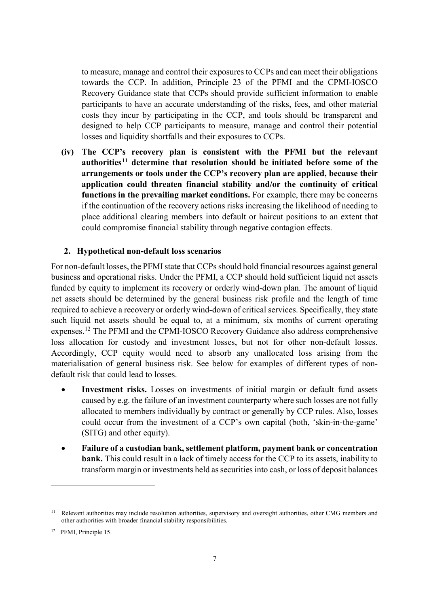to measure, manage and control their exposures to CCPs and can meet their obligations towards the CCP. In addition, Principle 23 of the PFMI and the CPMI-IOSCO Recovery Guidance state that CCPs should provide sufficient information to enable participants to have an accurate understanding of the risks, fees, and other material costs they incur by participating in the CCP, and tools should be transparent and designed to help CCP participants to measure, manage and control their potential losses and liquidity shortfalls and their exposures to CCPs.

**(iv) The CCP's recovery plan is consistent with the PFMI but the relevant authorities[11](#page-13-0) determine that resolution should be initiated before some of the arrangements or tools under the CCP's recovery plan are applied, because their application could threaten financial stability and/or the continuity of critical functions in the prevailing market conditions.** For example, there may be concerns if the continuation of the recovery actions risks increasing the likelihood of needing to place additional clearing members into default or haircut positions to an extent that could compromise financial stability through negative contagion effects.

#### **2. Hypothetical non-default loss scenarios**

For non-default losses, the PFMI state that CCPs should hold financial resources against general business and operational risks. Under the PFMI, a CCP should hold sufficient liquid net assets funded by equity to implement its recovery or orderly wind-down plan. The amount of liquid net assets should be determined by the general business risk profile and the length of time required to achieve a recovery or orderly wind-down of critical services. Specifically, they state such liquid net assets should be equal to, at a minimum, six months of current operating expenses.[12](#page-13-1) The PFMI and the CPMI-IOSCO Recovery Guidance also address comprehensive loss allocation for custody and investment losses, but not for other non-default losses. Accordingly, CCP equity would need to absorb any unallocated loss arising from the materialisation of general business risk. See below for examples of different types of nondefault risk that could lead to losses.

- **Investment risks.** Losses on investments of initial margin or default fund assets caused by e.g. the failure of an investment counterparty where such losses are not fully allocated to members individually by contract or generally by CCP rules. Also, losses could occur from the investment of a CCP's own capital (both, 'skin-in-the-game' (SITG) and other equity).
- **Failure of a custodian bank, settlement platform, payment bank or concentration bank.** This could result in a lack of timely access for the CCP to its assets, inability to transform margin or investments held as securities into cash, or loss of deposit balances

<span id="page-13-0"></span><sup>&</sup>lt;sup>11</sup> Relevant authorities may include resolution authorities, supervisory and oversight authorities, other CMG members and other authorities with broader financial stability responsibilities.

<span id="page-13-1"></span><sup>12</sup> PFMI, Principle 15.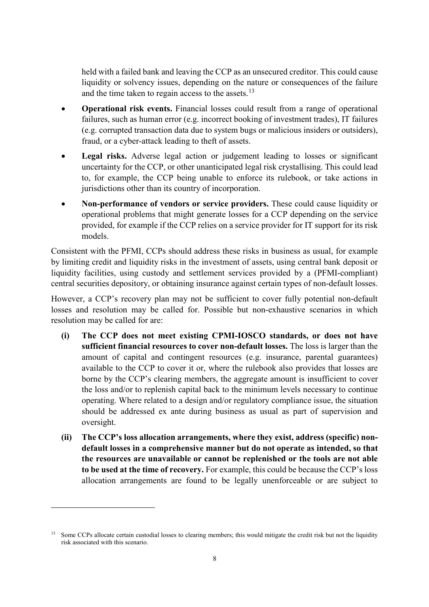held with a failed bank and leaving the CCP as an unsecured creditor. This could cause liquidity or solvency issues, depending on the nature or consequences of the failure and the time taken to regain access to the assets.<sup>[13](#page-14-0)</sup>

- **Operational risk events.** Financial losses could result from a range of operational failures, such as human error (e.g. incorrect booking of investment trades), IT failures (e.g. corrupted transaction data due to system bugs or malicious insiders or outsiders), fraud, or a cyber-attack leading to theft of assets.
- **Legal risks.** Adverse legal action or judgement leading to losses or significant uncertainty for the CCP, or other unanticipated legal risk crystallising. This could lead to, for example, the CCP being unable to enforce its rulebook, or take actions in jurisdictions other than its country of incorporation.
- **Non-performance of vendors or service providers.** These could cause liquidity or operational problems that might generate losses for a CCP depending on the service provided, for example if the CCP relies on a service provider for IT support for its risk models.

Consistent with the PFMI, CCPs should address these risks in business as usual, for example by limiting credit and liquidity risks in the investment of assets, using central bank deposit or liquidity facilities, using custody and settlement services provided by a (PFMI-compliant) central securities depository, or obtaining insurance against certain types of non-default losses.

However, a CCP's recovery plan may not be sufficient to cover fully potential non-default losses and resolution may be called for. Possible but non-exhaustive scenarios in which resolution may be called for are:

- **(i) The CCP does not meet existing CPMI-IOSCO standards, or does not have sufficient financial resources to cover non-default losses.** The loss is larger than the amount of capital and contingent resources (e.g. insurance, parental guarantees) available to the CCP to cover it or, where the rulebook also provides that losses are borne by the CCP's clearing members, the aggregate amount is insufficient to cover the loss and/or to replenish capital back to the minimum levels necessary to continue operating. Where related to a design and/or regulatory compliance issue, the situation should be addressed ex ante during business as usual as part of supervision and oversight.
- **(ii) The CCP's loss allocation arrangements, where they exist, address (specific) nondefault losses in a comprehensive manner but do not operate as intended, so that the resources are unavailable or cannot be replenished or the tools are not able to be used at the time of recovery.** For example, this could be because the CCP's loss allocation arrangements are found to be legally unenforceable or are subject to

<span id="page-14-0"></span><sup>&</sup>lt;sup>13</sup> Some CCPs allocate certain custodial losses to clearing members; this would mitigate the credit risk but not the liquidity risk associated with this scenario.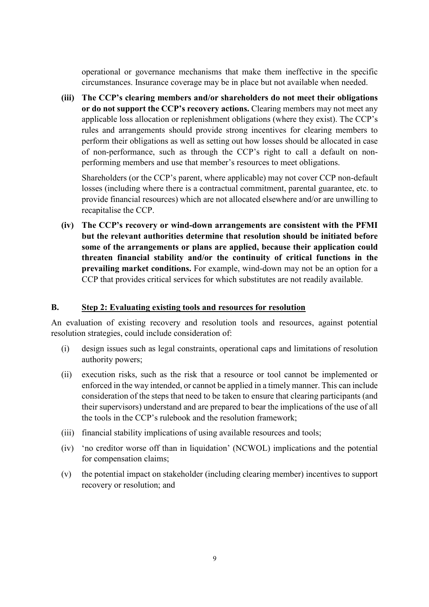operational or governance mechanisms that make them ineffective in the specific circumstances. Insurance coverage may be in place but not available when needed.

**(iii) The CCP's clearing members and/or shareholders do not meet their obligations or do not support the CCP's recovery actions.** Clearing members may not meet any applicable loss allocation or replenishment obligations (where they exist). The CCP's rules and arrangements should provide strong incentives for clearing members to perform their obligations as well as setting out how losses should be allocated in case of non-performance, such as through the CCP's right to call a default on nonperforming members and use that member's resources to meet obligations.

Shareholders (or the CCP's parent, where applicable) may not cover CCP non-default losses (including where there is a contractual commitment, parental guarantee, etc. to provide financial resources) which are not allocated elsewhere and/or are unwilling to recapitalise the CCP.

**(iv) The CCP's recovery or wind-down arrangements are consistent with the PFMI but the relevant authorities determine that resolution should be initiated before some of the arrangements or plans are applied, because their application could threaten financial stability and/or the continuity of critical functions in the prevailing market conditions.** For example, wind-down may not be an option for a CCP that provides critical services for which substitutes are not readily available.

#### <span id="page-15-0"></span>**B. Step 2: Evaluating existing tools and resources for resolution**

An evaluation of existing recovery and resolution tools and resources, against potential resolution strategies, could include consideration of:

- (i) design issues such as legal constraints, operational caps and limitations of resolution authority powers;
- (ii) execution risks, such as the risk that a resource or tool cannot be implemented or enforced in the way intended, or cannot be applied in a timely manner. This can include consideration of the steps that need to be taken to ensure that clearing participants (and their supervisors) understand and are prepared to bear the implications of the use of all the tools in the CCP's rulebook and the resolution framework;
- (iii) financial stability implications of using available resources and tools;
- (iv) 'no creditor worse off than in liquidation' (NCWOL) implications and the potential for compensation claims;
- (v) the potential impact on stakeholder (including clearing member) incentives to support recovery or resolution; and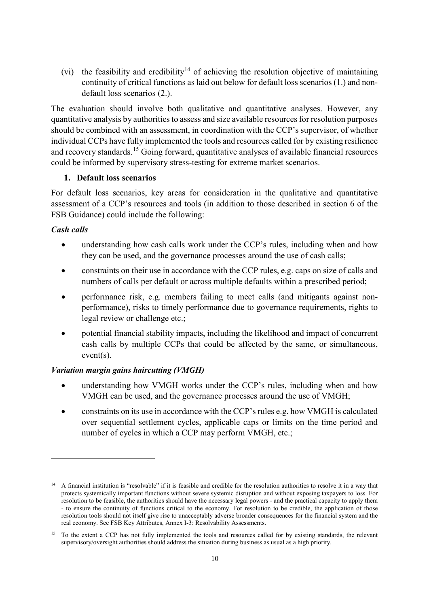(vi) the feasibility and credibility<sup>[14](#page-16-0)</sup> of achieving the resolution objective of maintaining continuity of critical functions as laid out below for default loss scenarios (1.) and nondefault loss scenarios (2.).

The evaluation should involve both qualitative and quantitative analyses. However, any quantitative analysis by authorities to assess and size available resources for resolution purposes should be combined with an assessment, in coordination with the CCP's supervisor, of whether individual CCPs have fully implemented the tools and resources called for by existing resilience and recovery standards.[15](#page-16-1) Going forward, quantitative analyses of available financial resources could be informed by supervisory stress-testing for extreme market scenarios.

#### **1. Default loss scenarios**

For default loss scenarios, key areas for consideration in the qualitative and quantitative assessment of a CCP's resources and tools (in addition to those described in section 6 of the FSB Guidance) could include the following:

#### *Cash calls*

-

- understanding how cash calls work under the CCP's rules, including when and how they can be used, and the governance processes around the use of cash calls;
- constraints on their use in accordance with the CCP rules, e.g. caps on size of calls and numbers of calls per default or across multiple defaults within a prescribed period;
- performance risk, e.g. members failing to meet calls (and mitigants against nonperformance), risks to timely performance due to governance requirements, rights to legal review or challenge etc.;
- potential financial stability impacts, including the likelihood and impact of concurrent cash calls by multiple CCPs that could be affected by the same, or simultaneous, event(s).

## *Variation margin gains haircutting (VMGH)*

- understanding how VMGH works under the CCP's rules, including when and how VMGH can be used, and the governance processes around the use of VMGH;
- constraints on its use in accordance with the CCP's rules e.g. how VMGH is calculated over sequential settlement cycles, applicable caps or limits on the time period and number of cycles in which a CCP may perform VMGH, etc.;

<span id="page-16-0"></span><sup>&</sup>lt;sup>14</sup> A financial institution is "resolvable" if it is feasible and credible for the resolution authorities to resolve it in a way that protects systemically important functions without severe systemic disruption and without exposing taxpayers to loss. For resolution to be feasible, the authorities should have the necessary legal powers - and the practical capacity to apply them - to ensure the continuity of functions critical to the economy. For resolution to be credible, the application of those resolution tools should not itself give rise to unacceptably adverse broader consequences for the financial system and the real economy. See FSB Key Attributes, Annex I-3: Resolvability Assessments.

<span id="page-16-1"></span><sup>&</sup>lt;sup>15</sup> To the extent a CCP has not fully implemented the tools and resources called for by existing standards, the relevant supervisory/oversight authorities should address the situation during business as usual as a high priority.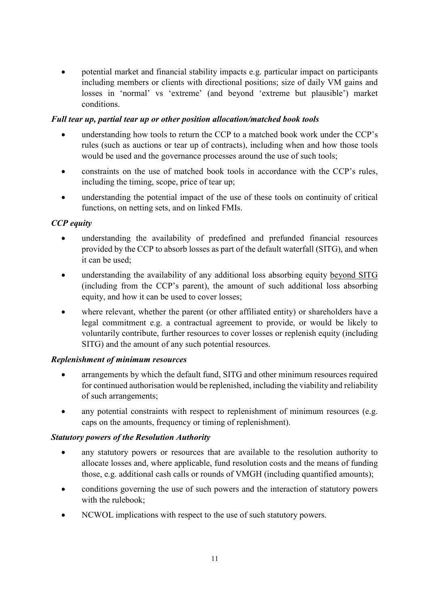• potential market and financial stability impacts e.g. particular impact on participants including members or clients with directional positions; size of daily VM gains and losses in 'normal' vs 'extreme' (and beyond 'extreme but plausible') market conditions.

#### *Full tear up, partial tear up or other position allocation/matched book tools*

- understanding how tools to return the CCP to a matched book work under the CCP's rules (such as auctions or tear up of contracts), including when and how those tools would be used and the governance processes around the use of such tools;
- constraints on the use of matched book tools in accordance with the CCP's rules, including the timing, scope, price of tear up;
- understanding the potential impact of the use of these tools on continuity of critical functions, on netting sets, and on linked FMIs.

## *CCP equity*

- understanding the availability of predefined and prefunded financial resources provided by the CCP to absorb losses as part of the default waterfall (SITG), and when it can be used;
- understanding the availability of any additional loss absorbing equity beyond SITG (including from the CCP's parent), the amount of such additional loss absorbing equity, and how it can be used to cover losses;
- where relevant, whether the parent (or other affiliated entity) or shareholders have a legal commitment e.g. a contractual agreement to provide, or would be likely to voluntarily contribute, further resources to cover losses or replenish equity (including SITG) and the amount of any such potential resources.

## *Replenishment of minimum resources*

- arrangements by which the default fund, SITG and other minimum resources required for continued authorisation would be replenished, including the viability and reliability of such arrangements;
- any potential constraints with respect to replenishment of minimum resources (e.g. caps on the amounts, frequency or timing of replenishment).

## *Statutory powers of the Resolution Authority*

- any statutory powers or resources that are available to the resolution authority to allocate losses and, where applicable, fund resolution costs and the means of funding those, e.g. additional cash calls or rounds of VMGH (including quantified amounts);
- conditions governing the use of such powers and the interaction of statutory powers with the rulebook;
- NCWOL implications with respect to the use of such statutory powers.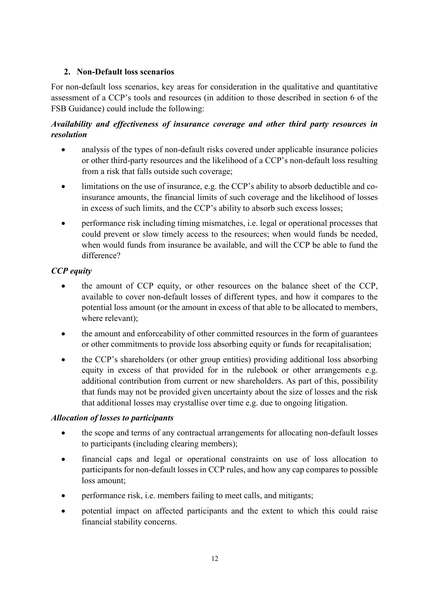## **2. Non-Default loss scenarios**

For non-default loss scenarios, key areas for consideration in the qualitative and quantitative assessment of a CCP's tools and resources (in addition to those described in section 6 of the FSB Guidance) could include the following:

## *Availability and effectiveness of insurance coverage and other third party resources in resolution*

- analysis of the types of non-default risks covered under applicable insurance policies or other third-party resources and the likelihood of a CCP's non-default loss resulting from a risk that falls outside such coverage;
- limitations on the use of insurance, e.g. the CCP's ability to absorb deductible and coinsurance amounts, the financial limits of such coverage and the likelihood of losses in excess of such limits, and the CCP's ability to absorb such excess losses;
- performance risk including timing mismatches, i.e. legal or operational processes that could prevent or slow timely access to the resources; when would funds be needed, when would funds from insurance be available, and will the CCP be able to fund the difference?

## *CCP equity*

- the amount of CCP equity, or other resources on the balance sheet of the CCP, available to cover non-default losses of different types, and how it compares to the potential loss amount (or the amount in excess of that able to be allocated to members, where relevant);
- the amount and enforceability of other committed resources in the form of guarantees or other commitments to provide loss absorbing equity or funds for recapitalisation;
- the CCP's shareholders (or other group entities) providing additional loss absorbing equity in excess of that provided for in the rulebook or other arrangements e.g. additional contribution from current or new shareholders. As part of this, possibility that funds may not be provided given uncertainty about the size of losses and the risk that additional losses may crystallise over time e.g. due to ongoing litigation.

## *Allocation of losses to participants*

- the scope and terms of any contractual arrangements for allocating non-default losses to participants (including clearing members);
- financial caps and legal or operational constraints on use of loss allocation to participants for non-default losses in CCP rules, and how any cap compares to possible loss amount;
- performance risk, i.e. members failing to meet calls, and mitigants;
- potential impact on affected participants and the extent to which this could raise financial stability concerns.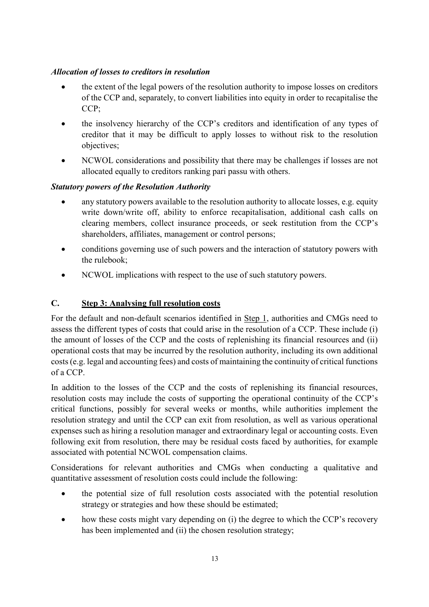## *Allocation of losses to creditors in resolution*

- the extent of the legal powers of the resolution authority to impose losses on creditors of the CCP and, separately, to convert liabilities into equity in order to recapitalise the CCP;
- the insolvency hierarchy of the CCP's creditors and identification of any types of creditor that it may be difficult to apply losses to without risk to the resolution objectives;
- NCWOL considerations and possibility that there may be challenges if losses are not allocated equally to creditors ranking pari passu with others.

## *Statutory powers of the Resolution Authority*

- any statutory powers available to the resolution authority to allocate losses, e.g. equity write down/write off, ability to enforce recapitalisation, additional cash calls on clearing members, collect insurance proceeds, or seek restitution from the CCP's shareholders, affiliates, management or control persons;
- conditions governing use of such powers and the interaction of statutory powers with the rulebook;
- NCWOL implications with respect to the use of such statutory powers.

## <span id="page-19-0"></span>**C. Step 3: Analysing full resolution costs**

For the default and non-default scenarios identified in Step 1, authorities and CMGs need to assess the different types of costs that could arise in the resolution of a CCP. These include (i) the amount of losses of the CCP and the costs of replenishing its financial resources and (ii) operational costs that may be incurred by the resolution authority, including its own additional costs (e.g. legal and accounting fees) and costs of maintaining the continuity of critical functions of a CCP.

In addition to the losses of the CCP and the costs of replenishing its financial resources, resolution costs may include the costs of supporting the operational continuity of the CCP's critical functions, possibly for several weeks or months, while authorities implement the resolution strategy and until the CCP can exit from resolution, as well as various operational expenses such as hiring a resolution manager and extraordinary legal or accounting costs. Even following exit from resolution, there may be residual costs faced by authorities, for example associated with potential NCWOL compensation claims.

Considerations for relevant authorities and CMGs when conducting a qualitative and quantitative assessment of resolution costs could include the following:

- the potential size of full resolution costs associated with the potential resolution strategy or strategies and how these should be estimated;
- how these costs might vary depending on (i) the degree to which the CCP's recovery has been implemented and (ii) the chosen resolution strategy;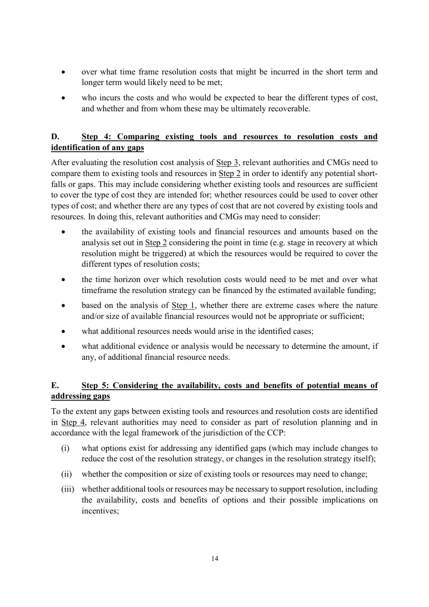- over what time frame resolution costs that might be incurred in the short term and longer term would likely need to be met;
- who incurs the costs and who would be expected to bear the different types of cost, and whether and from whom these may be ultimately recoverable.

## <span id="page-20-0"></span>**D. Step 4: Comparing existing tools and resources to resolution costs and identification of any gaps**

After evaluating the resolution cost analysis of Step 3, relevant authorities and CMGs need to compare them to existing tools and resources in Step 2 in order to identify any potential shortfalls or gaps. This may include considering whether existing tools and resources are sufficient to cover the type of cost they are intended for; whether resources could be used to cover other types of cost; and whether there are any types of cost that are not covered by existing tools and resources. In doing this, relevant authorities and CMGs may need to consider:

- the availability of existing tools and financial resources and amounts based on the analysis set out in Step 2 considering the point in time (e.g. stage in recovery at which resolution might be triggered) at which the resources would be required to cover the different types of resolution costs;
- the time horizon over which resolution costs would need to be met and over what timeframe the resolution strategy can be financed by the estimated available funding;
- based on the analysis of  $Step 1$ , whether there are extreme cases where the nature and/or size of available financial resources would not be appropriate or sufficient;
- what additional resources needs would arise in the identified cases;
- what additional evidence or analysis would be necessary to determine the amount, if any, of additional financial resource needs.

## <span id="page-20-1"></span>**E. Step 5: Considering the availability, costs and benefits of potential means of addressing gaps**

To the extent any gaps between existing tools and resources and resolution costs are identified in Step 4, relevant authorities may need to consider as part of resolution planning and in accordance with the legal framework of the jurisdiction of the CCP:

- (i) what options exist for addressing any identified gaps (which may include changes to reduce the cost of the resolution strategy, or changes in the resolution strategy itself);
- (ii) whether the composition or size of existing tools or resources may need to change;
- (iii) whether additional tools or resources may be necessary to support resolution, including the availability, costs and benefits of options and their possible implications on incentives;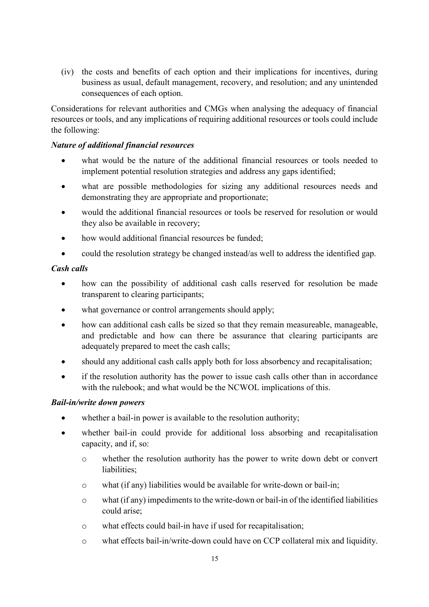(iv) the costs and benefits of each option and their implications for incentives, during business as usual, default management, recovery, and resolution; and any unintended consequences of each option.

Considerations for relevant authorities and CMGs when analysing the adequacy of financial resources or tools, and any implications of requiring additional resources or tools could include the following:

#### *Nature of additional financial resources*

- what would be the nature of the additional financial resources or tools needed to implement potential resolution strategies and address any gaps identified;
- what are possible methodologies for sizing any additional resources needs and demonstrating they are appropriate and proportionate;
- would the additional financial resources or tools be reserved for resolution or would they also be available in recovery;
- how would additional financial resources be funded;
- could the resolution strategy be changed instead/as well to address the identified gap.

#### *Cash calls*

- how can the possibility of additional cash calls reserved for resolution be made transparent to clearing participants;
- what governance or control arrangements should apply;
- how can additional cash calls be sized so that they remain measureable, manageable, and predictable and how can there be assurance that clearing participants are adequately prepared to meet the cash calls;
- should any additional cash calls apply both for loss absorbency and recapitalisation;
- if the resolution authority has the power to issue cash calls other than in accordance with the rulebook; and what would be the NCWOL implications of this.

## *Bail-in/write down powers*

- whether a bail-in power is available to the resolution authority;
- whether bail-in could provide for additional loss absorbing and recapitalisation capacity, and if, so:
	- o whether the resolution authority has the power to write down debt or convert liabilities;
	- o what (if any) liabilities would be available for write-down or bail-in;
	- o what (if any) impediments to the write-down or bail-in of the identified liabilities could arise;
	- o what effects could bail-in have if used for recapitalisation;
	- o what effects bail-in/write-down could have on CCP collateral mix and liquidity.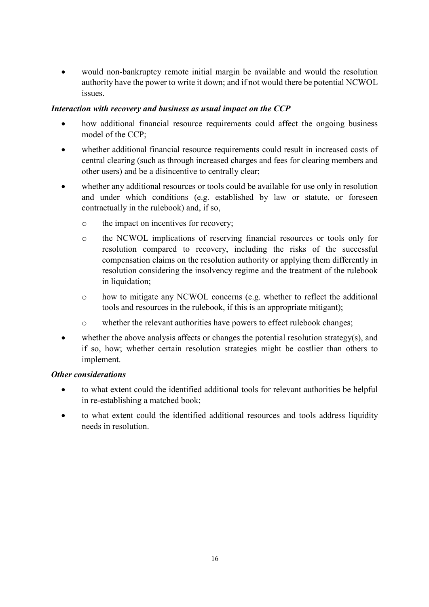would non-bankruptcy remote initial margin be available and would the resolution authority have the power to write it down; and if not would there be potential NCWOL issues.

## *Interaction with recovery and business as usual impact on the CCP*

- how additional financial resource requirements could affect the ongoing business model of the CCP;
- whether additional financial resource requirements could result in increased costs of central clearing (such as through increased charges and fees for clearing members and other users) and be a disincentive to centrally clear;
- whether any additional resources or tools could be available for use only in resolution and under which conditions (e.g. established by law or statute, or foreseen contractually in the rulebook) and, if so,
	- o the impact on incentives for recovery;
	- o the NCWOL implications of reserving financial resources or tools only for resolution compared to recovery, including the risks of the successful compensation claims on the resolution authority or applying them differently in resolution considering the insolvency regime and the treatment of the rulebook in liquidation;
	- o how to mitigate any NCWOL concerns (e.g. whether to reflect the additional tools and resources in the rulebook, if this is an appropriate mitigant);
	- o whether the relevant authorities have powers to effect rulebook changes;
- whether the above analysis affects or changes the potential resolution strategy(s), and if so, how; whether certain resolution strategies might be costlier than others to implement.

## *Other considerations*

- to what extent could the identified additional tools for relevant authorities be helpful in re-establishing a matched book;
- to what extent could the identified additional resources and tools address liquidity needs in resolution.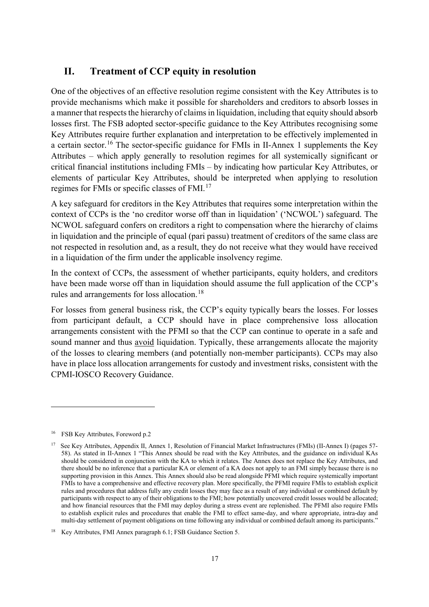## <span id="page-23-0"></span>**II. Treatment of CCP equity in resolution**

One of the objectives of an effective resolution regime consistent with the Key Attributes is to provide mechanisms which make it possible for shareholders and creditors to absorb losses in a manner that respects the hierarchy of claims in liquidation, including that equity should absorb losses first. The FSB adopted sector-specific guidance to the Key Attributes recognising some Key Attributes require further explanation and interpretation to be effectively implemented in a certain sector.[16](#page-23-1) The sector-specific guidance for FMIs in II-Annex 1 supplements the Key Attributes – which apply generally to resolution regimes for all systemically significant or critical financial institutions including FMIs – by indicating how particular Key Attributes, or elements of particular Key Attributes, should be interpreted when applying to resolution regimes for FMIs or specific classes of FMI. [17](#page-23-2)

A key safeguard for creditors in the Key Attributes that requires some interpretation within the context of CCPs is the 'no creditor worse off than in liquidation' ('NCWOL') safeguard. The NCWOL safeguard confers on creditors a right to compensation where the hierarchy of claims in liquidation and the principle of equal (pari passu) treatment of creditors of the same class are not respected in resolution and, as a result, they do not receive what they would have received in a liquidation of the firm under the applicable insolvency regime.

In the context of CCPs, the assessment of whether participants, equity holders, and creditors have been made worse off than in liquidation should assume the full application of the CCP's rules and arrangements for loss allocation.[18](#page-23-3)

For losses from general business risk, the CCP's equity typically bears the losses. For losses from participant default, a CCP should have in place comprehensive loss allocation arrangements consistent with the PFMI so that the CCP can continue to operate in a safe and sound manner and thus <u>avoid</u> liquidation. Typically, these arrangements allocate the majority of the losses to clearing members (and potentially non-member participants). CCPs may also have in place loss allocation arrangements for custody and investment risks, consistent with the CPMI-IOSCO Recovery Guidance.

<span id="page-23-1"></span><sup>16</sup> FSB Key Attributes, Foreword p.2

<span id="page-23-2"></span><sup>&</sup>lt;sup>17</sup> See Key Attributes, Appendix II, Annex 1, Resolution of Financial Market Infrastructures (FMIs) (II-Annex I) (pages 57-58). As stated in II-Annex 1 "This Annex should be read with the Key Attributes, and the guidance on individual KAs should be considered in conjunction with the KA to which it relates. The Annex does not replace the Key Attributes, and there should be no inference that a particular KA or element of a KA does not apply to an FMI simply because there is no supporting provision in this Annex. This Annex should also be read alongside PFMI which require systemically important FMIs to have a comprehensive and effective recovery plan. More specifically, the PFMI require FMIs to establish explicit rules and procedures that address fully any credit losses they may face as a result of any individual or combined default by participants with respect to any of their obligations to the FMI; how potentially uncovered credit losses would be allocated; and how financial resources that the FMI may deploy during a stress event are replenished. The PFMI also require FMIs to establish explicit rules and procedures that enable the FMI to effect same-day, and where appropriate, intra-day and multi-day settlement of payment obligations on time following any individual or combined default among its participants."

<span id="page-23-3"></span><sup>18</sup> Key Attributes, FMI Annex paragraph 6.1; FSB Guidance Section 5.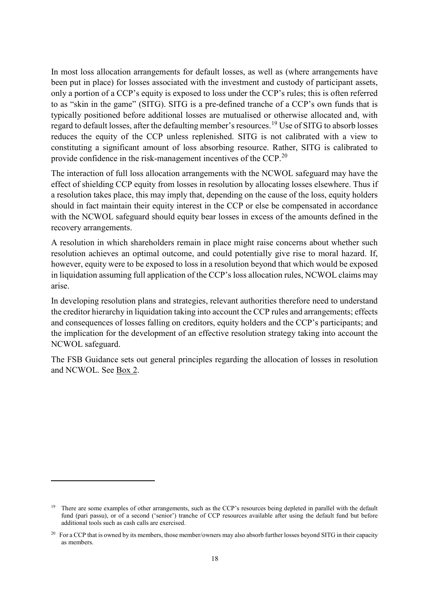In most loss allocation arrangements for default losses, as well as (where arrangements have been put in place) for losses associated with the investment and custody of participant assets, only a portion of a CCP's equity is exposed to loss under the CCP's rules; this is often referred to as "skin in the game" (SITG). SITG is a pre-defined tranche of a CCP's own funds that is typically positioned before additional losses are mutualised or otherwise allocated and, with regard to default losses, after the defaulting member's resources.[19](#page-24-0) Use of SITG to absorb losses reduces the equity of the CCP unless replenished. SITG is not calibrated with a view to constituting a significant amount of loss absorbing resource. Rather, SITG is calibrated to provide confidence in the risk-management incentives of the CCP.[20](#page-24-1)

The interaction of full loss allocation arrangements with the NCWOL safeguard may have the effect of shielding CCP equity from losses in resolution by allocating losses elsewhere. Thus if a resolution takes place, this may imply that, depending on the cause of the loss, equity holders should in fact maintain their equity interest in the CCP or else be compensated in accordance with the NCWOL safeguard should equity bear losses in excess of the amounts defined in the recovery arrangements.

A resolution in which shareholders remain in place might raise concerns about whether such resolution achieves an optimal outcome, and could potentially give rise to moral hazard. If, however, equity were to be exposed to loss in a resolution beyond that which would be exposed in liquidation assuming full application of the CCP's loss allocation rules, NCWOL claims may arise.

In developing resolution plans and strategies, relevant authorities therefore need to understand the creditor hierarchy in liquidation taking into account the CCP rules and arrangements; effects and consequences of losses falling on creditors, equity holders and the CCP's participants; and the implication for the development of an effective resolution strategy taking into account the NCWOL safeguard.

The FSB Guidance sets out general principles regarding the allocation of losses in resolution and NCWOL. See Box 2.

<span id="page-24-0"></span><sup>&</sup>lt;sup>19</sup> There are some examples of other arrangements, such as the CCP's resources being depleted in parallel with the default fund (pari passu), or of a second ('senior') tranche of CCP resources available after using the default fund but before additional tools such as cash calls are exercised.

<span id="page-24-1"></span><sup>&</sup>lt;sup>20</sup> For a CCP that is owned by its members, those member/owners may also absorb further losses beyond SITG in their capacity as members.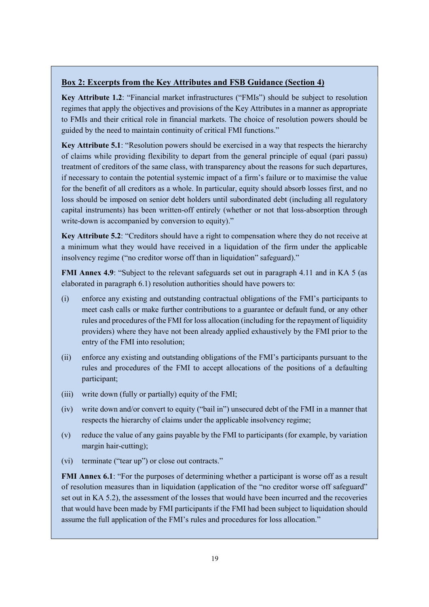#### <span id="page-25-0"></span>**Box 2: Excerpts from the Key Attributes and FSB Guidance (Section 4)**

**Key Attribute 1.2**: "Financial market infrastructures ("FMIs") should be subject to resolution regimes that apply the objectives and provisions of the Key Attributes in a manner as appropriate to FMIs and their critical role in financial markets. The choice of resolution powers should be guided by the need to maintain continuity of critical FMI functions."

**Key Attribute 5.1**: "Resolution powers should be exercised in a way that respects the hierarchy of claims while providing flexibility to depart from the general principle of equal (pari passu) treatment of creditors of the same class, with transparency about the reasons for such departures, if necessary to contain the potential systemic impact of a firm's failure or to maximise the value for the benefit of all creditors as a whole. In particular, equity should absorb losses first, and no loss should be imposed on senior debt holders until subordinated debt (including all regulatory capital instruments) has been written-off entirely (whether or not that loss-absorption through write-down is accompanied by conversion to equity)."

**Key Attribute 5.2**: "Creditors should have a right to compensation where they do not receive at a minimum what they would have received in a liquidation of the firm under the applicable insolvency regime ("no creditor worse off than in liquidation" safeguard)."

**FMI Annex 4.9**: "Subject to the relevant safeguards set out in paragraph 4.11 and in KA 5 (as elaborated in paragraph 6.1) resolution authorities should have powers to:

- (i) enforce any existing and outstanding contractual obligations of the FMI's participants to meet cash calls or make further contributions to a guarantee or default fund, or any other rules and procedures of the FMI for loss allocation (including for the repayment of liquidity providers) where they have not been already applied exhaustively by the FMI prior to the entry of the FMI into resolution;
- (ii) enforce any existing and outstanding obligations of the FMI's participants pursuant to the rules and procedures of the FMI to accept allocations of the positions of a defaulting participant;
- (iii) write down (fully or partially) equity of the FMI;
- (iv) write down and/or convert to equity ("bail in") unsecured debt of the FMI in a manner that respects the hierarchy of claims under the applicable insolvency regime;
- (v) reduce the value of any gains payable by the FMI to participants (for example, by variation margin hair-cutting);
- (vi) terminate ("tear up") or close out contracts."

**FMI Annex 6.1**: "For the purposes of determining whether a participant is worse off as a result of resolution measures than in liquidation (application of the "no creditor worse off safeguard" set out in KA 5.2), the assessment of the losses that would have been incurred and the recoveries that would have been made by FMI participants if the FMI had been subject to liquidation should assume the full application of the FMI's rules and procedures for loss allocation."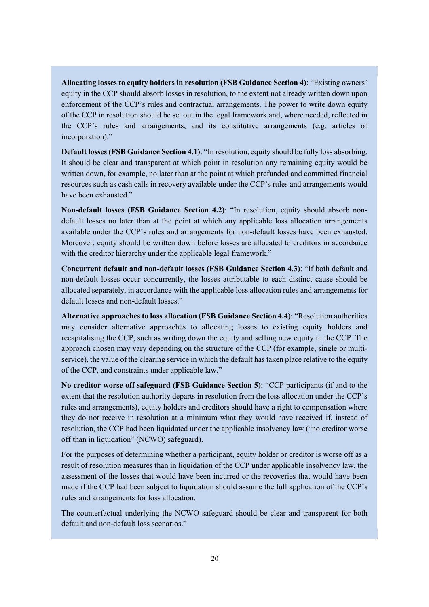**Allocating losses to equity holders in resolution (FSB Guidance Section 4)**: "Existing owners' equity in the CCP should absorb losses in resolution, to the extent not already written down upon enforcement of the CCP's rules and contractual arrangements. The power to write down equity of the CCP in resolution should be set out in the legal framework and, where needed, reflected in the CCP's rules and arrangements, and its constitutive arrangements (e.g. articles of incorporation)."

**Default losses (FSB Guidance Section 4.1)**: "In resolution, equity should be fully loss absorbing. It should be clear and transparent at which point in resolution any remaining equity would be written down, for example, no later than at the point at which prefunded and committed financial resources such as cash calls in recovery available under the CCP's rules and arrangements would have been exhausted."

**Non-default losses (FSB Guidance Section 4.2)**: "In resolution, equity should absorb nondefault losses no later than at the point at which any applicable loss allocation arrangements available under the CCP's rules and arrangements for non-default losses have been exhausted. Moreover, equity should be written down before losses are allocated to creditors in accordance with the creditor hierarchy under the applicable legal framework."

**Concurrent default and non-default losses (FSB Guidance Section 4.3)**: "If both default and non-default losses occur concurrently, the losses attributable to each distinct cause should be allocated separately, in accordance with the applicable loss allocation rules and arrangements for default losses and non-default losses."

**Alternative approaches to loss allocation (FSB Guidance Section 4.4)**: "Resolution authorities may consider alternative approaches to allocating losses to existing equity holders and recapitalising the CCP, such as writing down the equity and selling new equity in the CCP. The approach chosen may vary depending on the structure of the CCP (for example, single or multiservice), the value of the clearing service in which the default has taken place relative to the equity of the CCP, and constraints under applicable law."

**No creditor worse off safeguard (FSB Guidance Section 5)**: "CCP participants (if and to the extent that the resolution authority departs in resolution from the loss allocation under the CCP's rules and arrangements), equity holders and creditors should have a right to compensation where they do not receive in resolution at a minimum what they would have received if, instead of resolution, the CCP had been liquidated under the applicable insolvency law ("no creditor worse off than in liquidation" (NCWO) safeguard).

For the purposes of determining whether a participant, equity holder or creditor is worse off as a result of resolution measures than in liquidation of the CCP under applicable insolvency law, the assessment of the losses that would have been incurred or the recoveries that would have been made if the CCP had been subject to liquidation should assume the full application of the CCP's rules and arrangements for loss allocation.

The counterfactual underlying the NCWO safeguard should be clear and transparent for both default and non-default loss scenarios."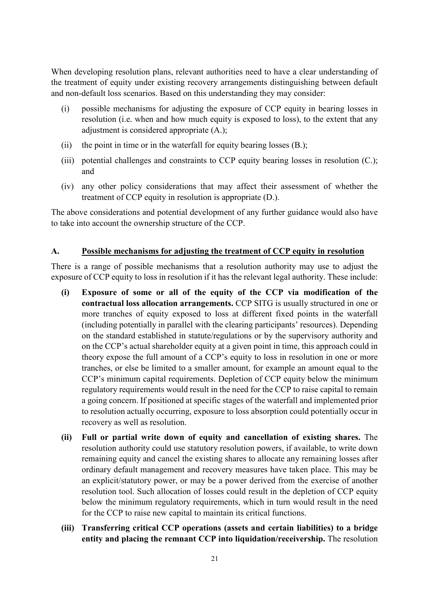When developing resolution plans, relevant authorities need to have a clear understanding of the treatment of equity under existing recovery arrangements distinguishing between default and non-default loss scenarios. Based on this understanding they may consider:

- (i) possible mechanisms for adjusting the exposure of CCP equity in bearing losses in resolution (i.e. when and how much equity is exposed to loss), to the extent that any adjustment is considered appropriate (A.);
- (ii) the point in time or in the waterfall for equity bearing losses (B.);
- (iii) potential challenges and constraints to CCP equity bearing losses in resolution (C.); and
- (iv) any other policy considerations that may affect their assessment of whether the treatment of CCP equity in resolution is appropriate (D.).

The above considerations and potential development of any further guidance would also have to take into account the ownership structure of the CCP.

#### <span id="page-27-0"></span>**A. Possible mechanisms for adjusting the treatment of CCP equity in resolution**

There is a range of possible mechanisms that a resolution authority may use to adjust the exposure of CCP equity to loss in resolution if it has the relevant legal authority. These include:

- **(i) Exposure of some or all of the equity of the CCP via modification of the contractual loss allocation arrangements.** CCP SITG is usually structured in one or more tranches of equity exposed to loss at different fixed points in the waterfall (including potentially in parallel with the clearing participants' resources). Depending on the standard established in statute/regulations or by the supervisory authority and on the CCP's actual shareholder equity at a given point in time, this approach could in theory expose the full amount of a CCP's equity to loss in resolution in one or more tranches, or else be limited to a smaller amount, for example an amount equal to the CCP's minimum capital requirements. Depletion of CCP equity below the minimum regulatory requirements would result in the need for the CCP to raise capital to remain a going concern. If positioned at specific stages of the waterfall and implemented prior to resolution actually occurring, exposure to loss absorption could potentially occur in recovery as well as resolution.
- **(ii) Full or partial write down of equity and cancellation of existing shares.** The resolution authority could use statutory resolution powers, if available, to write down remaining equity and cancel the existing shares to allocate any remaining losses after ordinary default management and recovery measures have taken place. This may be an explicit/statutory power, or may be a power derived from the exercise of another resolution tool. Such allocation of losses could result in the depletion of CCP equity below the minimum regulatory requirements, which in turn would result in the need for the CCP to raise new capital to maintain its critical functions.
- **(iii) Transferring critical CCP operations (assets and certain liabilities) to a bridge entity and placing the remnant CCP into liquidation/receivership.** The resolution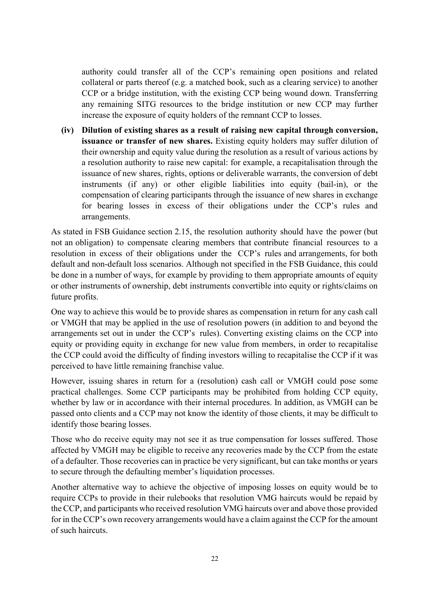authority could transfer all of the CCP's remaining open positions and related collateral or parts thereof (e.g. a matched book, such as a clearing service) to another CCP or a bridge institution, with the existing CCP being wound down. Transferring any remaining SITG resources to the bridge institution or new CCP may further increase the exposure of equity holders of the remnant CCP to losses.

**(iv) Dilution of existing shares as a result of raising new capital through conversion, issuance or transfer of new shares.** Existing equity holders may suffer dilution of their ownership and equity value during the resolution as a result of various actions by a resolution authority to raise new capital: for example, a recapitalisation through the issuance of new shares, rights, options or deliverable warrants, the conversion of debt instruments (if any) or other eligible liabilities into equity (bail-in), or the compensation of clearing participants through the issuance of new shares in exchange for bearing losses in excess of their obligations under the CCP's rules and arrangements.

As stated in FSB Guidance section 2.15, the resolution authority should have the power (but not an obligation) to compensate clearing members that contribute financial resources to a resolution in excess of their obligations under the CCP's rules and arrangements, for both default and non-default loss scenarios. Although not specified in the FSB Guidance, this could be done in a number of ways, for example by providing to them appropriate amounts of equity or other instruments of ownership, debt instruments convertible into equity or rights/claims on future profits.

One way to achieve this would be to provide shares as compensation in return for any cash call or VMGH that may be applied in the use of resolution powers (in addition to and beyond the arrangements set out in under the CCP's rules). Converting existing claims on the CCP into equity or providing equity in exchange for new value from members, in order to recapitalise the CCP could avoid the difficulty of finding investors willing to recapitalise the CCP if it was perceived to have little remaining franchise value.

However, issuing shares in return for a (resolution) cash call or VMGH could pose some practical challenges. Some CCP participants may be prohibited from holding CCP equity, whether by law or in accordance with their internal procedures. In addition, as VMGH can be passed onto clients and a CCP may not know the identity of those clients, it may be difficult to identify those bearing losses.

Those who do receive equity may not see it as true compensation for losses suffered. Those affected by VMGH may be eligible to receive any recoveries made by the CCP from the estate of a defaulter. Those recoveries can in practice be very significant, but can take months or years to secure through the defaulting member's liquidation processes.

Another alternative way to achieve the objective of imposing losses on equity would be to require CCPs to provide in their rulebooks that resolution VMG haircuts would be repaid by the CCP, and participants who received resolution VMG haircuts over and above those provided for in the CCP's own recovery arrangements would have a claim against the CCP for the amount of such haircuts.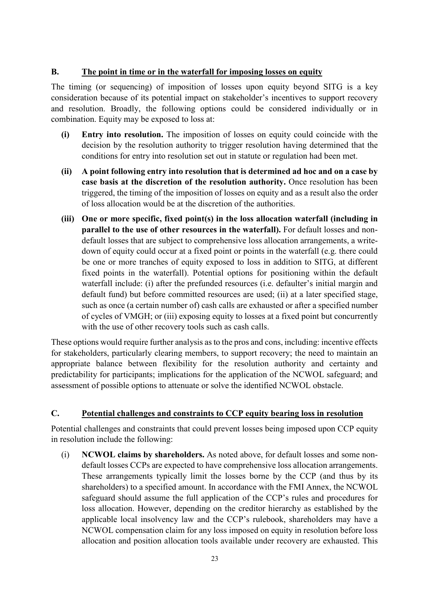## <span id="page-29-0"></span>**B. The point in time or in the waterfall for imposing losses on equity**

The timing (or sequencing) of imposition of losses upon equity beyond SITG is a key consideration because of its potential impact on stakeholder's incentives to support recovery and resolution. Broadly, the following options could be considered individually or in combination. Equity may be exposed to loss at:

- **(i) Entry into resolution.** The imposition of losses on equity could coincide with the decision by the resolution authority to trigger resolution having determined that the conditions for entry into resolution set out in statute or regulation had been met.
- **(ii) A point following entry into resolution that is determined ad hoc and on a case by case basis at the discretion of the resolution authority.** Once resolution has been triggered, the timing of the imposition of losses on equity and as a result also the order of loss allocation would be at the discretion of the authorities.
- **(iii) One or more specific, fixed point(s) in the loss allocation waterfall (including in parallel to the use of other resources in the waterfall).** For default losses and nondefault losses that are subject to comprehensive loss allocation arrangements, a writedown of equity could occur at a fixed point or points in the waterfall (e.g. there could be one or more tranches of equity exposed to loss in addition to SITG, at different fixed points in the waterfall). Potential options for positioning within the default waterfall include: (i) after the prefunded resources (i.e. defaulter's initial margin and default fund) but before committed resources are used; (ii) at a later specified stage, such as once (a certain number of) cash calls are exhausted or after a specified number of cycles of VMGH; or (iii) exposing equity to losses at a fixed point but concurrently with the use of other recovery tools such as cash calls.

These options would require further analysis as to the pros and cons, including: incentive effects for stakeholders, particularly clearing members, to support recovery; the need to maintain an appropriate balance between flexibility for the resolution authority and certainty and predictability for participants; implications for the application of the NCWOL safeguard; and assessment of possible options to attenuate or solve the identified NCWOL obstacle.

## <span id="page-29-1"></span>**C. Potential challenges and constraints to CCP equity bearing loss in resolution**

Potential challenges and constraints that could prevent losses being imposed upon CCP equity in resolution include the following:

(i) **NCWOL claims by shareholders.** As noted above, for default losses and some nondefault losses CCPs are expected to have comprehensive loss allocation arrangements. These arrangements typically limit the losses borne by the CCP (and thus by its shareholders) to a specified amount. In accordance with the FMI Annex, the NCWOL safeguard should assume the full application of the CCP's rules and procedures for loss allocation. However, depending on the creditor hierarchy as established by the applicable local insolvency law and the CCP's rulebook, shareholders may have a NCWOL compensation claim for any loss imposed on equity in resolution before loss allocation and position allocation tools available under recovery are exhausted. This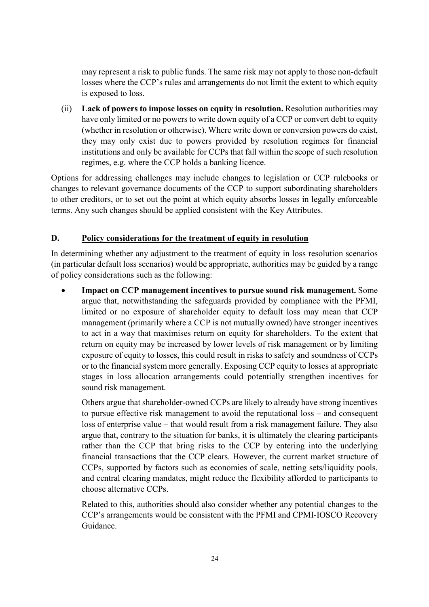may represent a risk to public funds. The same risk may not apply to those non-default losses where the CCP's rules and arrangements do not limit the extent to which equity is exposed to loss.

(ii) **Lack of powers to impose losses on equity in resolution.** Resolution authorities may have only limited or no powers to write down equity of a CCP or convert debt to equity (whether in resolution or otherwise). Where write down or conversion powers do exist, they may only exist due to powers provided by resolution regimes for financial institutions and only be available for CCPs that fall within the scope of such resolution regimes, e.g. where the CCP holds a banking licence.

Options for addressing challenges may include changes to legislation or CCP rulebooks or changes to relevant governance documents of the CCP to support subordinating shareholders to other creditors, or to set out the point at which equity absorbs losses in legally enforceable terms. Any such changes should be applied consistent with the Key Attributes.

## <span id="page-30-0"></span>**D. Policy considerations for the treatment of equity in resolution**

In determining whether any adjustment to the treatment of equity in loss resolution scenarios (in particular default loss scenarios) would be appropriate, authorities may be guided by a range of policy considerations such as the following:

• **Impact on CCP management incentives to pursue sound risk management.** Some argue that, notwithstanding the safeguards provided by compliance with the PFMI, limited or no exposure of shareholder equity to default loss may mean that CCP management (primarily where a CCP is not mutually owned) have stronger incentives to act in a way that maximises return on equity for shareholders. To the extent that return on equity may be increased by lower levels of risk management or by limiting exposure of equity to losses, this could result in risks to safety and soundness of CCPs or to the financial system more generally. Exposing CCP equity to losses at appropriate stages in loss allocation arrangements could potentially strengthen incentives for sound risk management.

Others argue that shareholder-owned CCPs are likely to already have strong incentives to pursue effective risk management to avoid the reputational loss – and consequent loss of enterprise value – that would result from a risk management failure. They also argue that, contrary to the situation for banks, it is ultimately the clearing participants rather than the CCP that bring risks to the CCP by entering into the underlying financial transactions that the CCP clears. However, the current market structure of CCPs, supported by factors such as economies of scale, netting sets/liquidity pools, and central clearing mandates, might reduce the flexibility afforded to participants to choose alternative CCPs.

Related to this, authorities should also consider whether any potential changes to the CCP's arrangements would be consistent with the PFMI and CPMI-IOSCO Recovery Guidance.